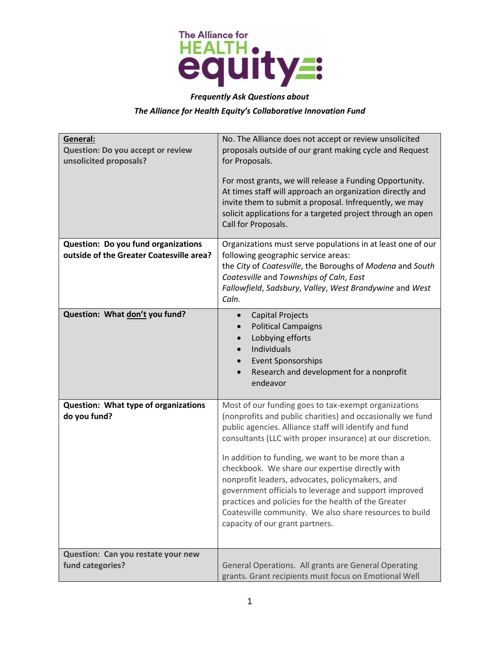

## *Frequently Ask Questions about*

## *The Alliance for Health Equity's Collaborative Innovation Fund*

| General:<br><b>Question: Do you accept or review</b><br>unsolicited proposals?  | No. The Alliance does not accept or review unsolicited<br>proposals outside of our grant making cycle and Request<br>for Proposals.<br>For most grants, we will release a Funding Opportunity.<br>At times staff will approach an organization directly and<br>invite them to submit a proposal. Infrequently, we may<br>solicit applications for a targeted project through an open<br>Call for Proposals.                                                                                                                                                                                                          |
|---------------------------------------------------------------------------------|----------------------------------------------------------------------------------------------------------------------------------------------------------------------------------------------------------------------------------------------------------------------------------------------------------------------------------------------------------------------------------------------------------------------------------------------------------------------------------------------------------------------------------------------------------------------------------------------------------------------|
| Question: Do you fund organizations<br>outside of the Greater Coatesville area? | Organizations must serve populations in at least one of our<br>following geographic service areas:<br>the City of Coatesville, the Boroughs of Modena and South<br>Coatesville and Townships of Caln, East<br>Fallowfield, Sadsbury, Valley, West Brandywine and West<br>Caln.                                                                                                                                                                                                                                                                                                                                       |
| Question: What don't you fund?                                                  | <b>Capital Projects</b><br><b>Political Campaigns</b><br>$\bullet$<br>Lobbying efforts<br>Individuals<br><b>Event Sponsorships</b><br>Research and development for a nonprofit<br>endeavor                                                                                                                                                                                                                                                                                                                                                                                                                           |
| Question: What type of organizations<br>do you fund?                            | Most of our funding goes to tax-exempt organizations<br>(nonprofits and public charities) and occasionally we fund<br>public agencies. Alliance staff will identify and fund<br>consultants (LLC with proper insurance) at our discretion.<br>In addition to funding, we want to be more than a<br>checkbook. We share our expertise directly with<br>nonprofit leaders, advocates, policymakers, and<br>government officials to leverage and support improved<br>practices and policies for the health of the Greater<br>Coatesville community. We also share resources to build<br>capacity of our grant partners. |
| Question: Can you restate your new<br>fund categories?                          | General Operations. All grants are General Operating<br>grants. Grant recipients must focus on Emotional Well                                                                                                                                                                                                                                                                                                                                                                                                                                                                                                        |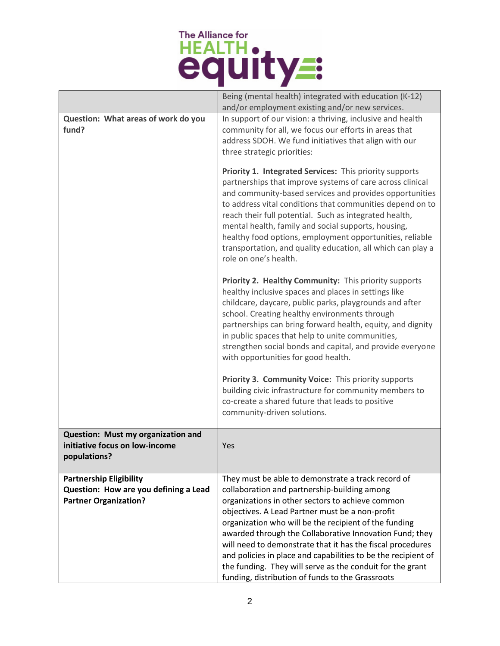## The Alliance for<br>HEALTH .

|                                                                                      | Being (mental health) integrated with education (K-12)<br>and/or employment existing and/or new services.                                                                                                                                                                                                                                                                                                                                                                                                         |
|--------------------------------------------------------------------------------------|-------------------------------------------------------------------------------------------------------------------------------------------------------------------------------------------------------------------------------------------------------------------------------------------------------------------------------------------------------------------------------------------------------------------------------------------------------------------------------------------------------------------|
| Question: What areas of work do you<br>fund?                                         | In support of our vision: a thriving, inclusive and health<br>community for all, we focus our efforts in areas that<br>address SDOH. We fund initiatives that align with our<br>three strategic priorities:                                                                                                                                                                                                                                                                                                       |
|                                                                                      | Priority 1. Integrated Services: This priority supports<br>partnerships that improve systems of care across clinical<br>and community-based services and provides opportunities<br>to address vital conditions that communities depend on to<br>reach their full potential. Such as integrated health,<br>mental health, family and social supports, housing,<br>healthy food options, employment opportunities, reliable<br>transportation, and quality education, all which can play a<br>role on one's health. |
|                                                                                      | Priority 2. Healthy Community: This priority supports<br>healthy inclusive spaces and places in settings like<br>childcare, daycare, public parks, playgrounds and after<br>school. Creating healthy environments through<br>partnerships can bring forward health, equity, and dignity<br>in public spaces that help to unite communities,<br>strengthen social bonds and capital, and provide everyone<br>with opportunities for good health.                                                                   |
|                                                                                      | Priority 3. Community Voice: This priority supports<br>building civic infrastructure for community members to<br>co-create a shared future that leads to positive<br>community-driven solutions.                                                                                                                                                                                                                                                                                                                  |
| Question: Must my organization and<br>initiative focus on low-income<br>populations? | Yes                                                                                                                                                                                                                                                                                                                                                                                                                                                                                                               |
| <b>Partnership Eligibility</b>                                                       | They must be able to demonstrate a track record of                                                                                                                                                                                                                                                                                                                                                                                                                                                                |
| Question: How are you defining a Lead                                                | collaboration and partnership-building among                                                                                                                                                                                                                                                                                                                                                                                                                                                                      |
|                                                                                      |                                                                                                                                                                                                                                                                                                                                                                                                                                                                                                                   |
| <b>Partner Organization?</b>                                                         | organizations in other sectors to achieve common                                                                                                                                                                                                                                                                                                                                                                                                                                                                  |
|                                                                                      | objectives. A Lead Partner must be a non-profit                                                                                                                                                                                                                                                                                                                                                                                                                                                                   |
|                                                                                      | organization who will be the recipient of the funding<br>awarded through the Collaborative Innovation Fund; they                                                                                                                                                                                                                                                                                                                                                                                                  |
|                                                                                      | will need to demonstrate that it has the fiscal procedures                                                                                                                                                                                                                                                                                                                                                                                                                                                        |
|                                                                                      | and policies in place and capabilities to be the recipient of                                                                                                                                                                                                                                                                                                                                                                                                                                                     |
|                                                                                      | the funding. They will serve as the conduit for the grant<br>funding, distribution of funds to the Grassroots                                                                                                                                                                                                                                                                                                                                                                                                     |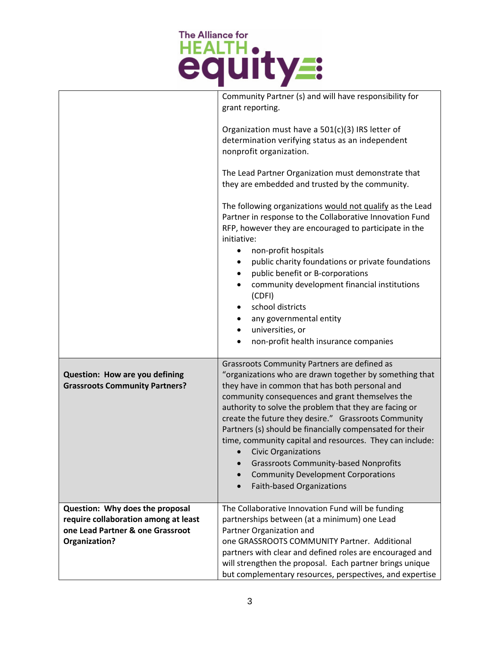

|                                                                                                                              | Community Partner (s) and will have responsibility for<br>grant reporting.                                                                                                                                                                                                                                                                                                                                                                                                                                                                                                                                            |
|------------------------------------------------------------------------------------------------------------------------------|-----------------------------------------------------------------------------------------------------------------------------------------------------------------------------------------------------------------------------------------------------------------------------------------------------------------------------------------------------------------------------------------------------------------------------------------------------------------------------------------------------------------------------------------------------------------------------------------------------------------------|
|                                                                                                                              | Organization must have a 501(c)(3) IRS letter of<br>determination verifying status as an independent<br>nonprofit organization.                                                                                                                                                                                                                                                                                                                                                                                                                                                                                       |
|                                                                                                                              | The Lead Partner Organization must demonstrate that<br>they are embedded and trusted by the community.                                                                                                                                                                                                                                                                                                                                                                                                                                                                                                                |
|                                                                                                                              | The following organizations would not qualify as the Lead<br>Partner in response to the Collaborative Innovation Fund<br>RFP, however they are encouraged to participate in the<br>initiative:<br>non-profit hospitals<br>public charity foundations or private foundations<br>public benefit or B-corporations<br>$\bullet$<br>community development financial institutions<br>(CDFI)<br>school districts<br>$\bullet$<br>any governmental entity<br>٠<br>universities, or<br>$\bullet$<br>non-profit health insurance companies                                                                                     |
| Question: How are you defining<br><b>Grassroots Community Partners?</b>                                                      | Grassroots Community Partners are defined as<br>"organizations who are drawn together by something that<br>they have in common that has both personal and<br>community consequences and grant themselves the<br>authority to solve the problem that they are facing or<br>create the future they desire." Grassroots Community<br>Partners (s) should be financially compensated for their<br>time, community capital and resources. They can include:<br><b>Civic Organizations</b><br><b>Grassroots Community-based Nonprofits</b><br><b>Community Development Corporations</b><br><b>Faith-based Organizations</b> |
| Question: Why does the proposal<br>require collaboration among at least<br>one Lead Partner & one Grassroot<br>Organization? | The Collaborative Innovation Fund will be funding<br>partnerships between (at a minimum) one Lead<br>Partner Organization and<br>one GRASSROOTS COMMUNITY Partner. Additional<br>partners with clear and defined roles are encouraged and<br>will strengthen the proposal. Each partner brings unique<br>but complementary resources, perspectives, and expertise                                                                                                                                                                                                                                                     |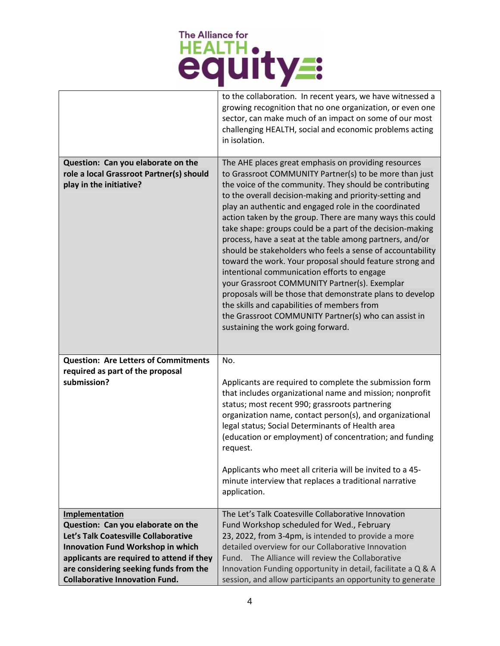## The Alliance for<br>HEALTH .

|                                                                                                                                                                                                                                                                   | to the collaboration. In recent years, we have witnessed a<br>growing recognition that no one organization, or even one<br>sector, can make much of an impact on some of our most<br>challenging HEALTH, social and economic problems acting<br>in isolation.                                                                                                                                                                                                                                                                                                                                                                                                                                                                                                                                                                                                                                                           |
|-------------------------------------------------------------------------------------------------------------------------------------------------------------------------------------------------------------------------------------------------------------------|-------------------------------------------------------------------------------------------------------------------------------------------------------------------------------------------------------------------------------------------------------------------------------------------------------------------------------------------------------------------------------------------------------------------------------------------------------------------------------------------------------------------------------------------------------------------------------------------------------------------------------------------------------------------------------------------------------------------------------------------------------------------------------------------------------------------------------------------------------------------------------------------------------------------------|
| Question: Can you elaborate on the<br>role a local Grassroot Partner(s) should<br>play in the initiative?                                                                                                                                                         | The AHE places great emphasis on providing resources<br>to Grassroot COMMUNITY Partner(s) to be more than just<br>the voice of the community. They should be contributing<br>to the overall decision-making and priority-setting and<br>play an authentic and engaged role in the coordinated<br>action taken by the group. There are many ways this could<br>take shape: groups could be a part of the decision-making<br>process, have a seat at the table among partners, and/or<br>should be stakeholders who feels a sense of accountability<br>toward the work. Your proposal should feature strong and<br>intentional communication efforts to engage<br>your Grassroot COMMUNITY Partner(s). Exemplar<br>proposals will be those that demonstrate plans to develop<br>the skills and capabilities of members from<br>the Grassroot COMMUNITY Partner(s) who can assist in<br>sustaining the work going forward. |
| <b>Question: Are Letters of Commitments</b><br>required as part of the proposal<br>submission?                                                                                                                                                                    | No.<br>Applicants are required to complete the submission form<br>that includes organizational name and mission; nonprofit<br>status; most recent 990; grassroots partnering<br>organization name, contact person(s), and organizational<br>legal status; Social Determinants of Health area<br>(education or employment) of concentration; and funding<br>request.<br>Applicants who meet all criteria will be invited to a 45-<br>minute interview that replaces a traditional narrative<br>application.                                                                                                                                                                                                                                                                                                                                                                                                              |
| Implementation<br>Question: Can you elaborate on the<br>Let's Talk Coatesville Collaborative<br>Innovation Fund Workshop in which<br>applicants are required to attend if they<br>are considering seeking funds from the<br><b>Collaborative Innovation Fund.</b> | The Let's Talk Coatesville Collaborative Innovation<br>Fund Workshop scheduled for Wed., February<br>23, 2022, from 3-4pm, is intended to provide a more<br>detailed overview for our Collaborative Innovation<br>Fund. The Alliance will review the Collaborative<br>Innovation Funding opportunity in detail, facilitate a Q & A<br>session, and allow participants an opportunity to generate                                                                                                                                                                                                                                                                                                                                                                                                                                                                                                                        |